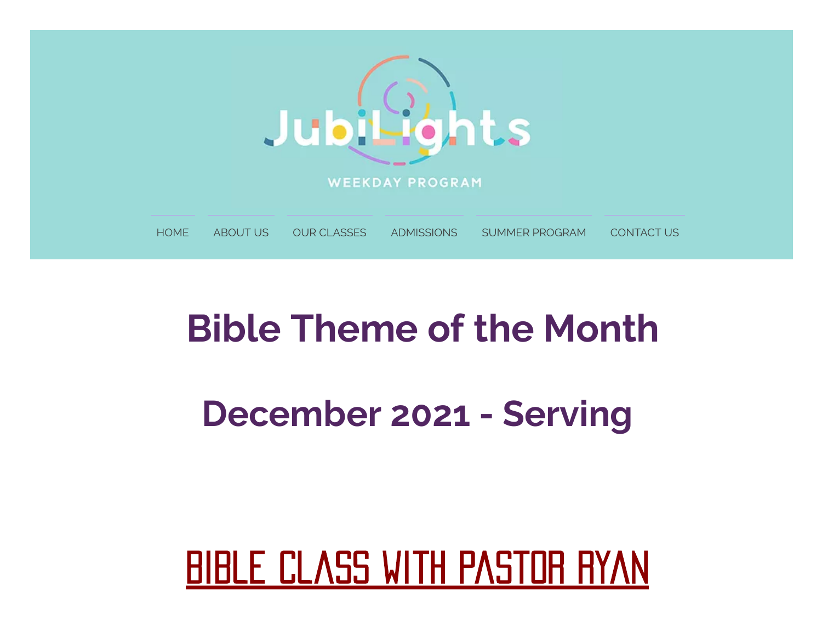

# **Bible Theme of the Month**

### **December 2021 - Serving**

# **BIBLE CLASS WITH PASTOR RYAN**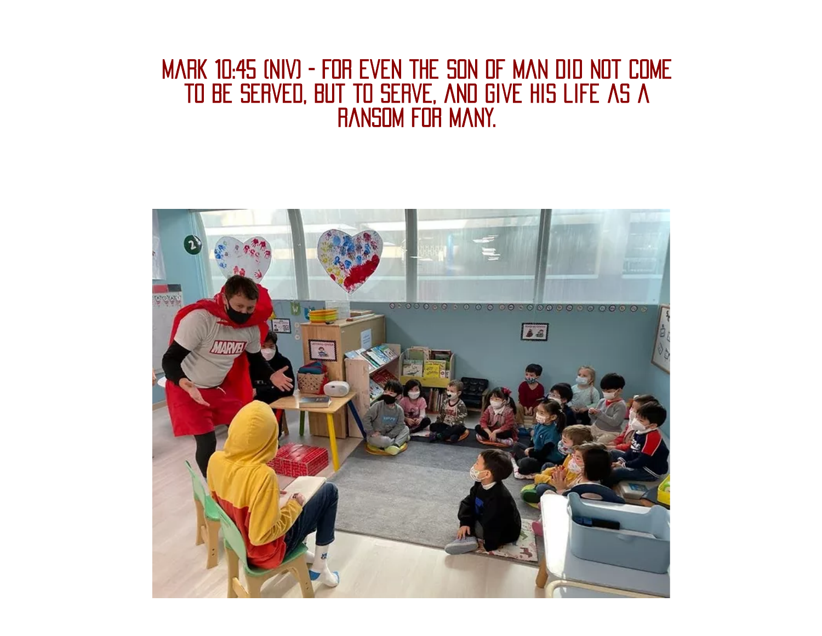#### Mark 10:45 (NIV) - For even the son of man did not come to be served, but to serve, and give his life as a ransom for many.

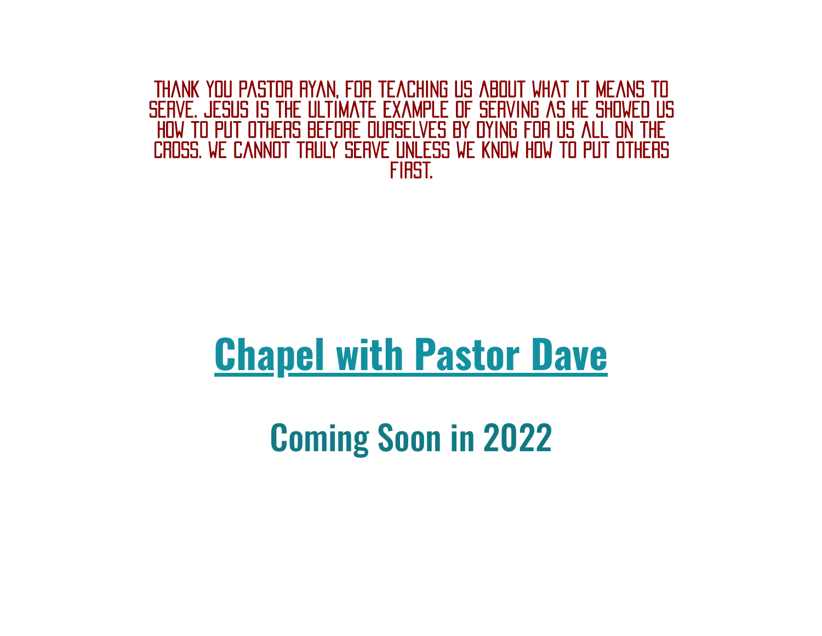Thank you Pastor Ryan, for teaching us about what it means to serve. jesus is the ultimate example of serving as he showed us how to put others before ourselves by dying for us all on the cross. we cannot truly serve unless we know how to put others first.

# **Chapel with Pastor Dave**

Coming Soon in 2022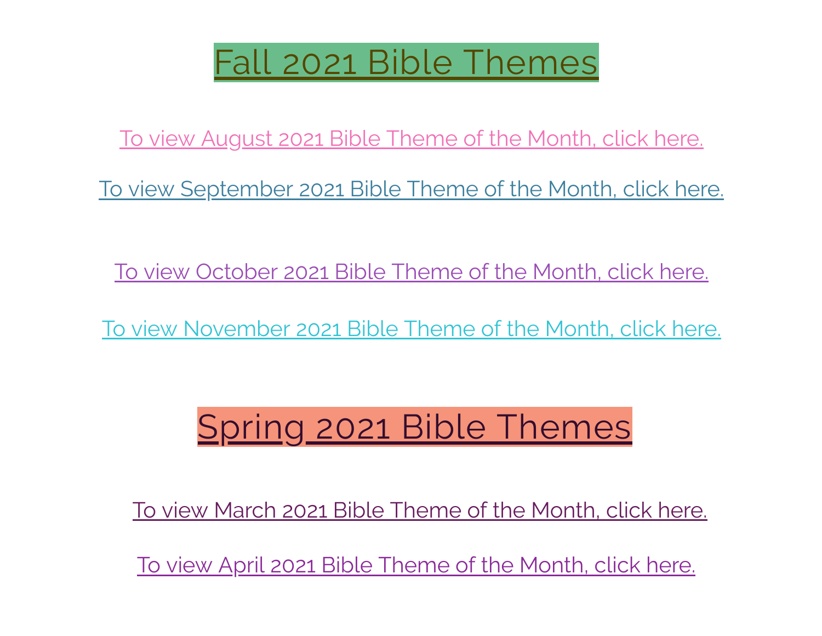### Fall 2021 Bible Themes

To view [August](https://494a09f4-585f-4f63-9af9-13ebe983eb1e.filesusr.com/ugd/1a8181_744a42bea60049548185ed8726652a40.pdf) 2021 Bible Theme of the Month, click here.

To view [September](https://494a09f4-585f-4f63-9af9-13ebe983eb1e.filesusr.com/ugd/1a8181_ae2215a92c494ff0bdde0e91e7095f4a.pdf) 2021 Bible Theme of the Month, click here.

To view [October](https://494a09f4-585f-4f63-9af9-13ebe983eb1e.filesusr.com/ugd/1a8181_9fee79a3f4554adba987e8572f567713.pdf) 2021 Bible Theme of the Month, click here.

To view [November](https://494a09f4-585f-4f63-9af9-13ebe983eb1e.filesusr.com/ugd/1a8181_47578835c6574f27a68983cc3daeed6d.pdf) 2021 Bible Theme of the Month, click here.

## Spring 2021 Bible Themes

To view March 2021 Bible [Theme](https://494a09f4-585f-4f63-9af9-13ebe983eb1e.filesusr.com/ugd/1a8181_a9edf8045ae9460187ccc2e908ba66ca.pdf) of the Month, click here.

To view April 2021 Bible [Theme](https://494a09f4-585f-4f63-9af9-13ebe983eb1e.filesusr.com/ugd/1a8181_8843c1ae02984af9a2592d57e7b52c92.pdf) of the Month, click here.